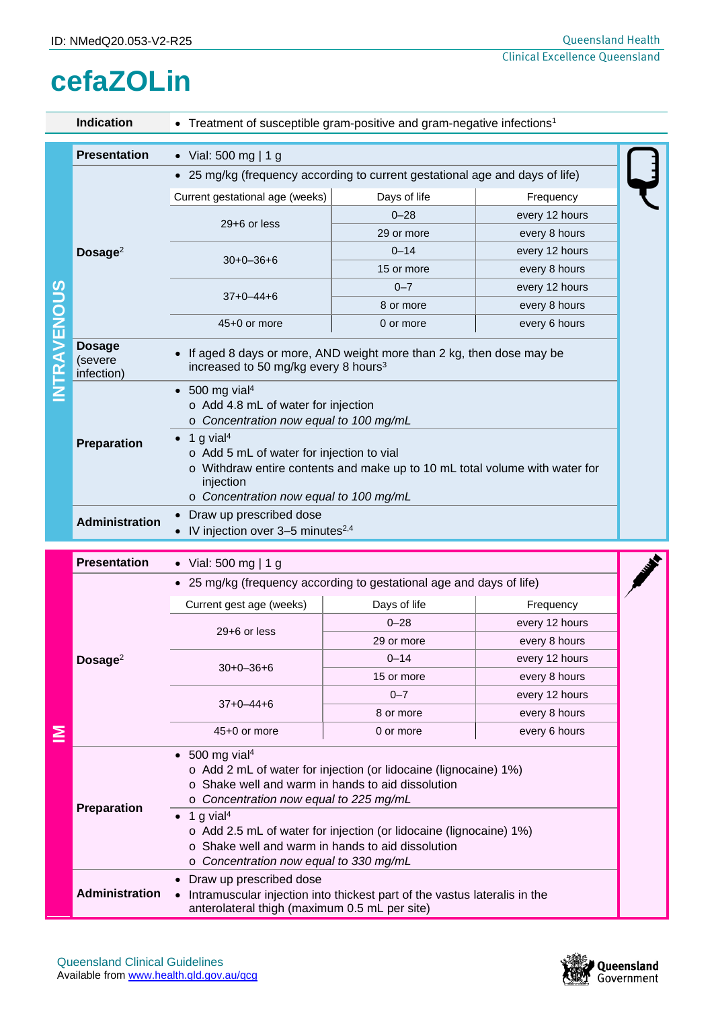## **cefaZOLin**

|            | <b>Indication</b>                      | • Treatment of susceptible gram-positive and gram-negative infections <sup>1</sup>                                                                                                                                                                                                                                                                                                                     |              |                |  |  |  |
|------------|----------------------------------------|--------------------------------------------------------------------------------------------------------------------------------------------------------------------------------------------------------------------------------------------------------------------------------------------------------------------------------------------------------------------------------------------------------|--------------|----------------|--|--|--|
|            | <b>Presentation</b>                    | • Vial: 500 mg   1 g                                                                                                                                                                                                                                                                                                                                                                                   |              |                |  |  |  |
|            |                                        | • 25 mg/kg (frequency according to current gestational age and days of life)                                                                                                                                                                                                                                                                                                                           |              |                |  |  |  |
|            | Dosage $2$                             | Current gestational age (weeks)                                                                                                                                                                                                                                                                                                                                                                        | Days of life | Frequency      |  |  |  |
|            |                                        | $29+6$ or less                                                                                                                                                                                                                                                                                                                                                                                         | $0 - 28$     | every 12 hours |  |  |  |
|            |                                        |                                                                                                                                                                                                                                                                                                                                                                                                        | 29 or more   | every 8 hours  |  |  |  |
|            |                                        | $30+0-36+6$                                                                                                                                                                                                                                                                                                                                                                                            | $0 - 14$     | every 12 hours |  |  |  |
|            |                                        |                                                                                                                                                                                                                                                                                                                                                                                                        | 15 or more   | every 8 hours  |  |  |  |
|            |                                        | $37+0-44+6$                                                                                                                                                                                                                                                                                                                                                                                            | $0 - 7$      | every 12 hours |  |  |  |
|            |                                        |                                                                                                                                                                                                                                                                                                                                                                                                        | 8 or more    | every 8 hours  |  |  |  |
|            |                                        | 45+0 or more                                                                                                                                                                                                                                                                                                                                                                                           | 0 or more    | every 6 hours  |  |  |  |
| NTRAVENOUS | <b>Dosage</b><br>(severe<br>infection) | If aged 8 days or more, AND weight more than 2 kg, then dose may be<br>increased to 50 mg/kg every 8 hours <sup>3</sup>                                                                                                                                                                                                                                                                                |              |                |  |  |  |
|            |                                        | 500 mg vial <sup>4</sup><br>$\bullet$<br>o Add 4.8 mL of water for injection<br>o Concentration now equal to 100 mg/mL                                                                                                                                                                                                                                                                                 |              |                |  |  |  |
|            | Preparation                            | 1 g vial <sup>4</sup><br>o Add 5 mL of water for injection to vial<br>o Withdraw entire contents and make up to 10 mL total volume with water for<br>injection<br>o Concentration now equal to 100 mg/mL                                                                                                                                                                                               |              |                |  |  |  |
|            | <b>Administration</b>                  | Draw up prescribed dose<br>IV injection over 3-5 minutes <sup>2,4</sup>                                                                                                                                                                                                                                                                                                                                |              |                |  |  |  |
|            | <b>Presentation</b>                    | • Vial: 500 mg   1 g                                                                                                                                                                                                                                                                                                                                                                                   |              |                |  |  |  |
|            |                                        | • 25 mg/kg (frequency according to gestational age and days of life)                                                                                                                                                                                                                                                                                                                                   |              |                |  |  |  |
|            | Dosage <sup>2</sup>                    | Current gest age (weeks)                                                                                                                                                                                                                                                                                                                                                                               | Days of life | Frequency      |  |  |  |
|            |                                        |                                                                                                                                                                                                                                                                                                                                                                                                        | $0 - 28$     | every 12 hours |  |  |  |
|            |                                        | 29+6 or less                                                                                                                                                                                                                                                                                                                                                                                           | 29 or more   | every 8 hours  |  |  |  |
|            |                                        | $30+0-36+6$                                                                                                                                                                                                                                                                                                                                                                                            | $0 - 14$     | every 12 hours |  |  |  |
|            |                                        |                                                                                                                                                                                                                                                                                                                                                                                                        | 15 or more   | every 8 hours  |  |  |  |
|            |                                        | $37+0-44+6$                                                                                                                                                                                                                                                                                                                                                                                            | $0 - 7$      | every 12 hours |  |  |  |
|            |                                        |                                                                                                                                                                                                                                                                                                                                                                                                        | 8 or more    | every 8 hours  |  |  |  |
| ≧          |                                        | 45+0 or more                                                                                                                                                                                                                                                                                                                                                                                           | 0 or more    | every 6 hours  |  |  |  |
|            | Preparation                            | 500 mg vial <sup>4</sup><br>$\bullet$<br>o Add 2 mL of water for injection (or lidocaine (lignocaine) 1%)<br>o Shake well and warm in hands to aid dissolution<br>o Concentration now equal to 225 mg/mL<br>1 g vial <sup>4</sup><br>o Add 2.5 mL of water for injection (or lidocaine (lignocaine) 1%)<br>o Shake well and warm in hands to aid dissolution<br>o Concentration now equal to 330 mg/mL |              |                |  |  |  |
|            | <b>Administration</b>                  | Draw up prescribed dose<br>Intramuscular injection into thickest part of the vastus lateralis in the<br>anterolateral thigh (maximum 0.5 mL per site)                                                                                                                                                                                                                                                  |              |                |  |  |  |

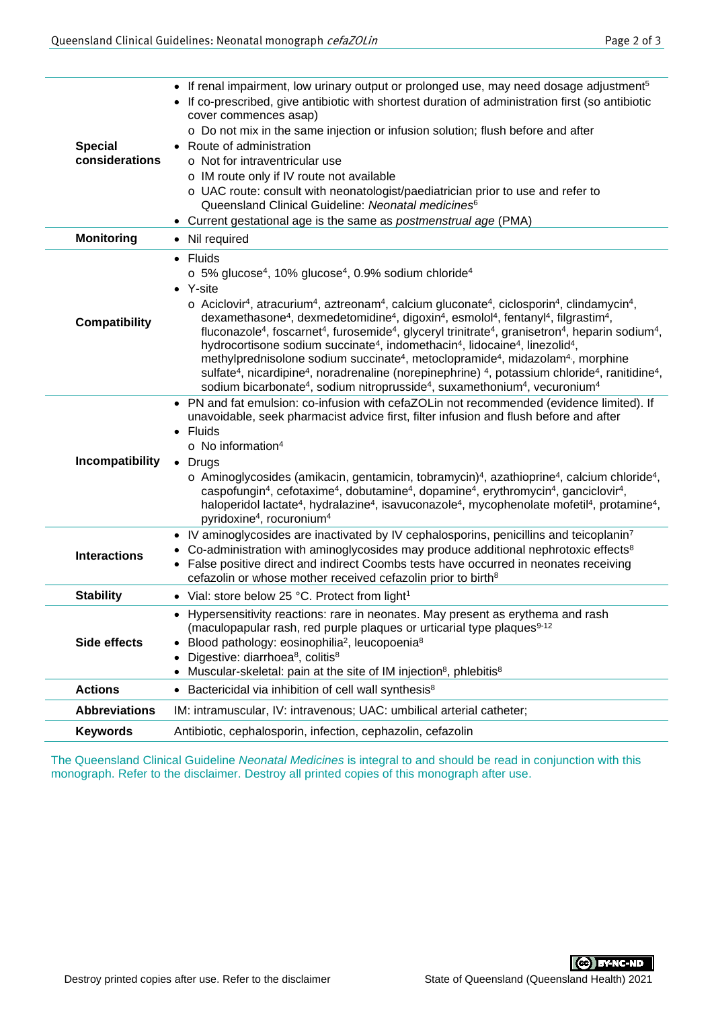| <b>Special</b><br>considerations | If renal impairment, low urinary output or prolonged use, may need dosage adjustment <sup>5</sup><br>If co-prescribed, give antibiotic with shortest duration of administration first (so antibiotic<br>cover commences asap)<br>o Do not mix in the same injection or infusion solution; flush before and after<br>Route of administration<br>o Not for intraventricular use<br>o IM route only if IV route not available<br>o UAC route: consult with neonatologist/paediatrician prior to use and refer to<br>Queensland Clinical Guideline: Neonatal medicines <sup>6</sup><br>• Current gestational age is the same as postmenstrual age (PMA)                                                                                                                                                                                                                                                                                                                                                                                                                                                                                                                                                 |  |  |  |
|----------------------------------|-----------------------------------------------------------------------------------------------------------------------------------------------------------------------------------------------------------------------------------------------------------------------------------------------------------------------------------------------------------------------------------------------------------------------------------------------------------------------------------------------------------------------------------------------------------------------------------------------------------------------------------------------------------------------------------------------------------------------------------------------------------------------------------------------------------------------------------------------------------------------------------------------------------------------------------------------------------------------------------------------------------------------------------------------------------------------------------------------------------------------------------------------------------------------------------------------------|--|--|--|
| <b>Monitoring</b>                | • Nil required                                                                                                                                                                                                                                                                                                                                                                                                                                                                                                                                                                                                                                                                                                                                                                                                                                                                                                                                                                                                                                                                                                                                                                                      |  |  |  |
| <b>Compatibility</b>             | • Fluids<br>$\circ$ 5% glucose <sup>4</sup> , 10% glucose <sup>4</sup> , 0.9% sodium chloride <sup>4</sup><br>• Y-site<br>$\circ$ Aciclovir <sup>4</sup> , atracurium <sup>4</sup> , aztreonam <sup>4</sup> , calcium gluconate <sup>4</sup> , ciclosporin <sup>4</sup> , clindamycin <sup>4</sup> ,<br>dexamethasone <sup>4</sup> , dexmedetomidine <sup>4</sup> , digoxin <sup>4</sup> , esmolol <sup>4</sup> , fentanyl <sup>4</sup> , filgrastim <sup>4</sup> ,<br>fluconazole <sup>4</sup> , foscarnet <sup>4</sup> , furosemide <sup>4</sup> , glyceryl trinitrate <sup>4</sup> , granisetron <sup>4</sup> , heparin sodium <sup>4</sup> ,<br>hydrocortisone sodium succinate <sup>4</sup> , indomethacin <sup>4</sup> , lidocaine <sup>4</sup> , linezolid <sup>4</sup> ,<br>methylprednisolone sodium succinate <sup>4</sup> , metoclopramide <sup>4</sup> , midazolam <sup>4</sup> , morphine<br>sulfate <sup>4</sup> , nicardipine <sup>4</sup> , noradrenaline (norepinephrine) <sup>4</sup> , potassium chloride <sup>4</sup> , ranitidine <sup>4</sup> ,<br>sodium bicarbonate <sup>4</sup> , sodium nitroprusside <sup>4</sup> , suxamethonium <sup>4</sup> , vecuronium <sup>4</sup> |  |  |  |
| Incompatibility                  | PN and fat emulsion: co-infusion with cefaZOLin not recommended (evidence limited). If<br>unavoidable, seek pharmacist advice first, filter infusion and flush before and after<br>• Fluids<br>$\circ$ No information <sup>4</sup><br>• Drugs<br>$\circ$ Aminoglycosides (amikacin, gentamicin, tobramycin) <sup>4</sup> , azathioprine <sup>4</sup> , calcium chloride <sup>4</sup> ,<br>caspofungin <sup>4</sup> , cefotaxime <sup>4</sup> , dobutamine <sup>4</sup> , dopamine <sup>4</sup> , erythromycin <sup>4</sup> , ganciclovir <sup>4</sup> ,<br>haloperidol lactate <sup>4</sup> , hydralazine <sup>4</sup> , isavuconazole <sup>4</sup> , mycophenolate mofetil <sup>4</sup> , protamine <sup>4</sup> ,<br>pyridoxine <sup>4</sup> , rocuronium <sup>4</sup>                                                                                                                                                                                                                                                                                                                                                                                                                            |  |  |  |
| <b>Interactions</b>              | • IV aminoglycosides are inactivated by IV cephalosporins, penicillins and teicoplanin <sup>7</sup><br>Co-administration with aminoglycosides may produce additional nephrotoxic effects <sup>8</sup><br>$\bullet$<br>• False positive direct and indirect Coombs tests have occurred in neonates receiving<br>cefazolin or whose mother received cefazolin prior to birth <sup>8</sup>                                                                                                                                                                                                                                                                                                                                                                                                                                                                                                                                                                                                                                                                                                                                                                                                             |  |  |  |
| <b>Stability</b>                 | • Vial: store below 25 °C. Protect from light <sup>1</sup>                                                                                                                                                                                                                                                                                                                                                                                                                                                                                                                                                                                                                                                                                                                                                                                                                                                                                                                                                                                                                                                                                                                                          |  |  |  |
| Side effects                     | • Hypersensitivity reactions: rare in neonates. May present as erythema and rash<br>(maculopapular rash, red purple plaques or urticarial type plaques <sup>9-12</sup><br>Blood pathology: eosinophilia <sup>2</sup> , leucopoenia <sup>8</sup><br>Digestive: diarrhoea <sup>8</sup> , colitis <sup>8</sup><br>Muscular-skeletal: pain at the site of IM injection <sup>8</sup> , phlebitis <sup>8</sup>                                                                                                                                                                                                                                                                                                                                                                                                                                                                                                                                                                                                                                                                                                                                                                                            |  |  |  |
| <b>Actions</b>                   | Bactericidal via inhibition of cell wall synthesis <sup>8</sup>                                                                                                                                                                                                                                                                                                                                                                                                                                                                                                                                                                                                                                                                                                                                                                                                                                                                                                                                                                                                                                                                                                                                     |  |  |  |
| <b>Abbreviations</b>             | IM: intramuscular, IV: intravenous; UAC: umbilical arterial catheter;                                                                                                                                                                                                                                                                                                                                                                                                                                                                                                                                                                                                                                                                                                                                                                                                                                                                                                                                                                                                                                                                                                                               |  |  |  |
| <b>Keywords</b>                  | Antibiotic, cephalosporin, infection, cephazolin, cefazolin                                                                                                                                                                                                                                                                                                                                                                                                                                                                                                                                                                                                                                                                                                                                                                                                                                                                                                                                                                                                                                                                                                                                         |  |  |  |
|                                  |                                                                                                                                                                                                                                                                                                                                                                                                                                                                                                                                                                                                                                                                                                                                                                                                                                                                                                                                                                                                                                                                                                                                                                                                     |  |  |  |

The Queensland Clinical Guideline *Neonatal Medicines* is integral to and should be read in conjunction with this monograph. Refer to the disclaimer. Destroy all printed copies of this monograph after use.